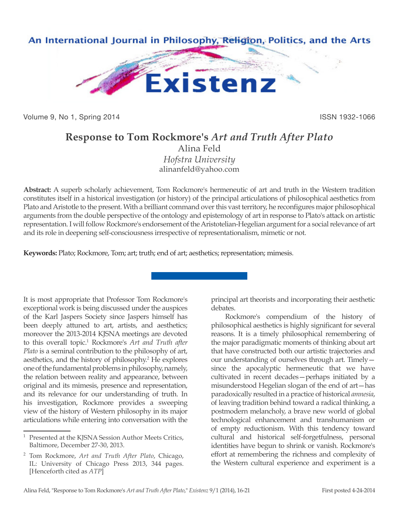

Volume 9, No 1, Spring 2014 **ISSN 1932-1066** 

## **Response to Tom Rockmore's** *Art and Truth After Plato* Alina Feld

*Hofstra University* alinanfeld@yahoo.com

**Abstract:** A superb scholarly achievement, Tom Rockmore's hermeneutic of art and truth in the Western tradition constitutes itself in a historical investigation (or history) of the principal articulations of philosophical aesthetics from Plato and Aristotle to the present. With a brilliant command over this vast territory, he reconfigures major philosophical arguments from the double perspective of the ontology and epistemology of art in response to Plato's attack on artistic representation. I will follow Rockmore's endorsement of the Aristotelian-Hegelian argument for a social relevance of art and its role in deepening self-consciousness irrespective of representationalism, mimetic or not.

**Keywords:** Plato; Rockmore, Tom; art; truth; end of art; aesthetics; representation; mimesis.

It is most appropriate that Professor Tom Rockmore's exceptional work is being discussed under the auspices of the Karl Jaspers Society since Jaspers himself has been deeply attuned to art, artists, and aesthetics; moreover the 2013-2014 KJSNA meetings are devoted to this overall topic.<sup>1</sup> Rockmore's *Art and Truth after Plato* is a seminal contribution to the philosophy of art, aesthetics, and the history of philosophy.2 He explores one of the fundamental problems in philosophy, namely, the relation between reality and appearance, between original and its mimesis, presence and representation, and its relevance for our understanding of truth. In his investigation, Rockmore provides a sweeping view of the history of Western philosophy in its major articulations while entering into conversation with the

principal art theorists and incorporating their aesthetic debates.

Rockmore's compendium of the history of philosophical aesthetics is highly significant for several reasons. It is a timely philosophical remembering of the major paradigmatic moments of thinking about art that have constructed both our artistic trajectories and our understanding of ourselves through art. Timely since the apocalyptic hermeneutic that we have cultivated in recent decades—perhaps initiated by a misunderstood Hegelian slogan of the end of art—has paradoxically resulted in a practice of historical *amnesia*, of leaving tradition behind toward a radical thinking, a postmodern melancholy, a brave new world of global technological enhancement and transhumanism or of empty reductionism. With this tendency toward cultural and historical self-forgetfulness, personal identities have begun to shrink or vanish. Rockmore's effort at remembering the richness and complexity of the Western cultural experience and experiment is a

<sup>&</sup>lt;sup>1</sup> Presented at the KJSNA Session Author Meets Critics, Baltimore, December 27-30, 2013.

<sup>2</sup> Tom Rockmore, *Art and Truth After Plato*, Chicago, IL: University of Chicago Press 2013, 344 pages. [Henceforth cited as *ATP*]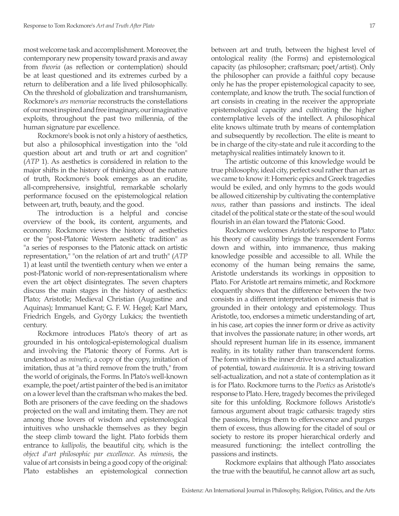most welcome task and accomplishment. Moreover, the contemporary new propensity toward praxis and away from *theoria* (as reflection or contemplation) should be at least questioned and its extremes curbed by a return to deliberation and a life lived philosophically. On the threshold of globalization and transhumanism, Rockmore's *ars memoriae* reconstructs the constellations of our most inspired and free imaginary, our imaginative exploits, throughout the past two millennia, of the human signature par excellence.

Rockmore's book is not only a history of aesthetics, but also a philosophical investigation into the "old question about art and truth or art and cognition" (*ATP* 1). As aesthetics is considered in relation to the major shifts in the history of thinking about the nature of truth, Rockmore's book emerges as an erudite, all-comprehensive, insightful, remarkable scholarly performance focused on the epistemological relation between art, truth, beauty, and the good.

The introduction is a helpful and concise overview of the book, its content, arguments, and economy. Rockmore views the history of aesthetics or the "post-Platonic Western aesthetic tradition" as "a series of responses to the Platonic attack on artistic representation," "on the relation of art and truth" (*ATP*  1) at least until the twentieth century when we enter a post-Platonic world of non-representationalism where even the art object disintegrates. The seven chapters discuss the main stages in the history of aesthetics: Plato; Aristotle; Medieval Christian (Augustine and Aquinas); Immanuel Kant; G. F. W. Hegel; Karl Marx, Friedrich Engels, and György Lukács; the twentieth century.

Rockmore introduces Plato's theory of art as grounded in his ontological-epistemological dualism and involving the Platonic theory of Forms. Art is understood as *mimetic*, a copy of the copy, imitation of imitation, thus at "a third remove from the truth," from the world of originals, the Forms. In Plato's well-known example, the poet/artist painter of the bed is an imitator on a lower level than the craftsman who makes the bed. Both are prisoners of the cave feeding on the shadows projected on the wall and imitating them. They are not among those lovers of wisdom and epistemological intuitives who unshackle themselves as they begin the steep climb toward the light. Plato forbids them entrance to *kallipolis*, the beautiful city, which is the *object d'art philosophic par excellence*. As *mimesis*, the value of art consists in being a good copy of the original: Plato establishes an epistemological connection

between art and truth, between the highest level of ontological reality (the Forms) and epistemological capacity (as philosopher; craftsman; poet/artist). Only the philosopher can provide a faithful copy because only he has the proper epistemological capacity to see, contemplate, and know the truth. The social function of art consists in creating in the receiver the appropriate epistemological capacity and cultivating the higher contemplative levels of the intellect. A philosophical elite knows ultimate truth by means of contemplation and subsequently by recollection. The elite is meant to be in charge of the city-state and rule it according to the metaphysical realities intimately known to it.

The artistic outcome of this knowledge would be true philosophy, ideal city, perfect soul rather than art as we came to know it: Homeric epics and Greek tragedies would be exiled, and only hymns to the gods would be allowed citizenship by cultivating the contemplative *nous*, rather than passions and instincts. The ideal citadel of the political state or the state of the soul would flourish in an élan toward the Platonic Good.

Rockmore welcomes Aristotle's response to Plato: his theory of causality brings the transcendent Forms down and within, into immanence, thus making knowledge possible and accessible to all. While the economy of the human being remains the same, Aristotle understands its workings in opposition to Plato. For Aristotle art remains mimetic, and Rockmore eloquently shows that the difference between the two consists in a different interpretation of mimesis that is grounded in their ontology and epistemology. Thus Aristotle, too, endorses a mimetic understanding of art, in his case, art copies the inner form or drive as activity that involves the passionate nature; in other words, art should represent human life in its essence, immanent reality, in its totality rather than transcendent forms. The form within is the inner drive toward actualization of potential, toward *eudaimonia*. It is a striving toward self-actualization, and not a state of contemplation as it is for Plato. Rockmore turns to the *Poetics* as Aristotle's response to Plato. Here, tragedy becomes the privileged site for this unfolding. Rockmore follows Aristotle's famous argument about tragic catharsis: tragedy stirs the passions, brings them to effervescence and purges them of excess, thus allowing for the citadel of soul or society to restore its proper hierarchical orderly and measured functioning: the intellect controlling the passions and instincts.

Rockmore explains that although Plato associates the true with the beautiful, he cannot allow art as such,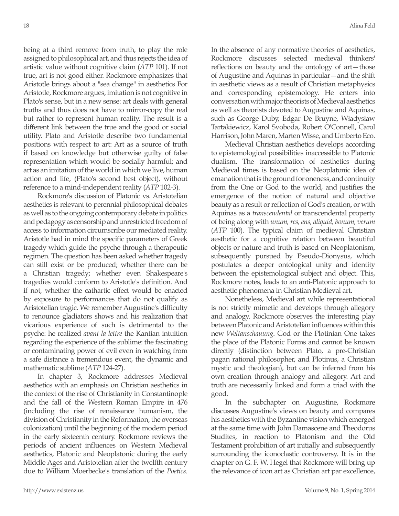being at a third remove from truth, to play the role assigned to philosophical art, and thus rejects the idea of artistic value without cognitive claim (*ATP* 101). If not true, art is not good either. Rockmore emphasizes that Aristotle brings about a "sea change" in aesthetics For Aristotle, Rockmore argues, imitation is not cognitive in Plato's sense, but in a new sense: art deals with general truths and thus does not have to mirror-copy the real but rather to represent human reality. The result is a different link between the true and the good or social utility. Plato and Aristotle describe two fundamental positions with respect to art: Art as a source of truth if based on knowledge but otherwise guilty of false representation which would be socially harmful; and art as an imitation of the world in which we live, human action and life, (Plato's second best object), without reference to a mind-independent reality (*ATP* 102-3).

Rockmore's discussion of Platonic vs. Aristotelian aesthetics is relevant to perennial philosophical debates as well as to the ongoing contemporary debate in politics and pedagogy as censorship and unrestricted freedom of access to information circumscribe our mediated reality. Aristotle had in mind the specific parameters of Greek tragedy which guide the psyche through a therapeutic regimen. The question has been asked whether tragedy can still exist or be produced; whether there can be a Christian tragedy; whether even Shakespeare's tragedies would conform to Aristotle's definition. And if not, whether the cathartic effect would be enacted by exposure to performances that do not qualify as Aristotelian tragic. We remember Augustine's difficulty to renounce gladiators shows and his realization that vicarious experience of such is detrimental to the psyche: he realized *avant la lettre* the Kantian intuition regarding the experience of the sublime: the fascinating or contaminating power of evil even in watching from a safe distance a tremendous event, the dynamic and mathematic sublime (*ATP* 124-27).

In chapter 3, Rockmore addresses Medieval aesthetics with an emphasis on Christian aesthetics in the context of the rise of Christianity in Constantinople and the fall of the Western Roman Empire in 476 (including the rise of renaissance humanism, the division of Christianity in the Reformation, the overseas colonization) until the beginning of the modern period in the early sixteenth century. Rockmore reviews the periods of ancient influences on Western Medieval aesthetics, Platonic and Neoplatonic during the early Middle Ages and Aristotelian after the twelfth century due to William Moerbecke's translation of the *Poetics*. In the absence of any normative theories of aesthetics, Rockmore discusses selected medieval thinkers' reflections on beauty and the ontology of art—those of Augustine and Aquinas in particular—and the shift in aesthetic views as a result of Christian metaphysics and corresponding epistemology. He enters into conversation with major theorists of Medieval aesthetics as well as theorists devoted to Augustine and Aquinas, such as George Duby, Edgar De Bruyne, Władysław Tartakiewicz, Karol Svoboda, Robert O'Connell, Carol Harrison, John Maren, Marten Wisse, and Umberto Eco.

Medieval Christian aesthetics develops according to epistemological possibilities inaccessible to Platonic dualism. The transformation of aesthetics during Medieval times is based on the Neoplatonic idea of emanation that is the ground for oneness, and continuity from the One or God to the world, and justifies the emergence of the notion of natural and objective beauty as a result or reflection of God's creation, or with Aquinas as a *transcendental* or transcendental property of being along with *unum, res, ens, aliquid, bonum, verum* (*ATP* 100). The typical claim of medieval Christian aesthetic for a cognitive relation between beautiful objects or nature and truth is based on Neoplatonism, subsequently pursued by Pseudo-Dionysus, which postulates a deeper ontological unity and identity between the epistemological subject and object. This, Rockmore notes, leads to an anti-Platonic approach to aesthetic phenomena in Christian Medieval art.

Nonetheless, Medieval art while representational is not strictly mimetic and develops through allegory and analogy. Rockmore observes the interesting play between Platonic and Aristotelian influences within this new *Weltanschauung*. God or the Plotinian One takes the place of the Platonic Forms and cannot be known directly (distinction between Plato, a pre-Christian pagan rational philosopher, and Plotinus, a Christian mystic and theologian), but can be inferred from his own creation through analogy and allegory. Art and truth are necessarily linked and form a triad with the good.

In the subchapter on Augustine, Rockmore discusses Augustine's views on beauty and compares his aesthetics with the Byzantine vision which emerged at the same time with John Damascene and Theodorus Studites, in reaction to Platonism and the Old Testament prohibition of art initially and subsequently surrounding the iconoclastic controversy. It is in the chapter on G. F. W. Hegel that Rockmore will bring up the relevance of icon art as Christian art par excellence,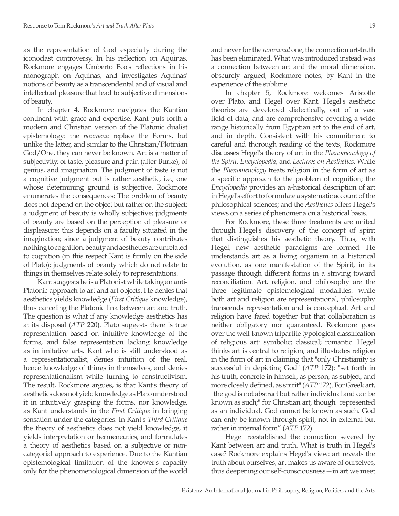as the representation of God especially during the iconoclast controversy. In his reflection on Aquinas, Rockmore engages Umberto Eco's reflections in his monograph on Aquinas, and investigates Aquinas' notions of beauty as a transcendental and of visual and intellectual pleasure that lead to subjective dimensions of beauty.

In chapter 4, Rockmore navigates the Kantian continent with grace and expertise. Kant puts forth a modern and Christian version of the Platonic dualist epistemology: the *noumena* replace the Forms, but unlike the latter, and similar to the Christian/Plotinian God/One, they can never be known. Art is a matter of subjectivity, of taste, pleasure and pain (after Burke), of genius, and imagination. The judgment of taste is not a cognitive judgment but is rather aesthetic, i.e., one whose determining ground is subjective. Rockmore enumerates the consequences: The problem of beauty does not depend on the object but rather on the subject; a judgment of beauty is wholly subjective; judgments of beauty are based on the perception of pleasure or displeasure; this depends on a faculty situated in the imagination; since a judgment of beauty contributes nothing to cognition, beauty and aesthetics are unrelated to cognition (in this respect Kant is firmly on the side of Plato); judgments of beauty which do not relate to things in themselves relate solely to representations.

Kant suggests he is a Platonist while taking an anti-Platonic approach to art and art objects. He denies that aesthetics yields knowledge (*First Critique* knowledge), thus canceling the Platonic link between art and truth. The question is what if any knowledge aesthetics has at its disposal (*ATP* 220). Plato suggests there is true representation based on intuitive knowledge of the forms, and false representation lacking knowledge as in imitative arts. Kant who is still understood as a representationalist, denies intuition of the real, hence knowledge of things in themselves, and denies representationalism while turning to constructivism. The result, Rockmore argues, is that Kant's theory of aesthetics does not yield knowledge as Plato understood it in intuitively grasping the forms, nor knowledge, as Kant understands in the *First Critique* in bringing sensation under the categories. In Kant's *Third Critique* the theory of aesthetics does not yield knowledge, it yields interpretation or hermeneutics, and formulates a theory of aesthetics based on a subjective or noncategorial approach to experience. Due to the Kantian epistemological limitation of the knower's capacity only for the phenomenological dimension of the world and never for the *noumenal* one, the connection art-truth has been eliminated. What was introduced instead was a connection between art and the moral dimension, obscurely argued, Rockmore notes, by Kant in the experience of the sublime.

In chapter 5, Rockmore welcomes Aristotle over Plato, and Hegel over Kant. Hegel's aesthetic theories are developed dialectically, out of a vast field of data, and are comprehensive covering a wide range historically from Egyptian art to the end of art, and in depth. Consistent with his commitment to careful and thorough reading of the texts, Rockmore discusses Hegel's theory of art in the *Phenomenology of the Spirit*, *Encyclopedia*, and *Lectures on Aesthetics*. While the *Phenomenology* treats religion in the form of art as a specific approach to the problem of cognition; the *Encyclopedia* provides an a-historical description of art in Hegel's effort to formulate a systematic account of the philosophical sciences; and the *Aesthetics* offers Hegel's views on a series of phenomena on a historical basis.

For Rockmore, these three treatments are united through Hegel's discovery of the concept of spirit that distinguishes his aesthetic theory. Thus, with Hegel, new aesthetic paradigms are formed. He understands art as a living organism in a historical evolution, as one manifestation of the Spirit, in its passage through different forms in a striving toward reconciliation. Art, religion, and philosophy are the three legitimate epistemological modalities: while both art and religion are representational, philosophy transcends representation and is conceptual. Art and religion have fared together but that collaboration is neither obligatory nor guaranteed. Rockmore goes over the well-known tripartite typological classification of religious art: symbolic; classical; romantic. Hegel thinks art is central to religion, and illustrates religion in the form of art in claiming that "only Christianity is successful in depicting God" (*ATP* 172): "set forth in his truth, concrete in himself, as person, as subject, and more closely defined, as spirit" (*ATP* 172). For Greek art, "the god is not abstract but rather individual and can be known as such;" for Christian art, though "represented as an individual, God cannot be known as such. God can only be known through spirit, not in external but rather in internal form" (*ATP* 172).

Hegel reestablished the connection severed by Kant between art and truth. What is truth in Hegel's case? Rockmore explains Hegel's view: art reveals the truth about ourselves, art makes us aware of ourselves, thus deepening our self-consciousness—in art we meet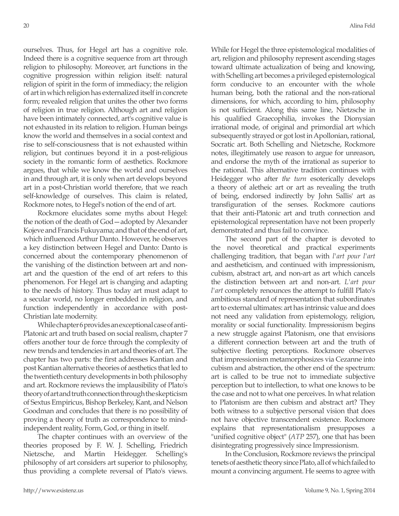ourselves. Thus, for Hegel art has a cognitive role. Indeed there is a cognitive sequence from art through religion to philosophy. Moreover, art functions in the cognitive progression within religion itself: natural religion of spirit in the form of immediacy; the religion of art in which religion has externalized itself in concrete form; revealed religion that unites the other two forms of religion in true religion. Although art and religion have been intimately connected, art's cognitive value is not exhausted in its relation to religion. Human beings know the world and themselves in a social context and rise to self-consciousness that is not exhausted within religion, but continues beyond it in a post-religious society in the romantic form of aesthetics. Rockmore argues, that while we know the world and ourselves in and through art, it is only when art develops beyond art in a post-Christian world therefore, that we reach self-knowledge of ourselves. This claim is related, Rockmore notes, to Hegel's notion of the end of art.

Rockmore elucidates some myths about Hegel: the notion of the death of God—adopted by Alexander Kojeve and Francis Fukuyama; and that of the end of art, which influenced Arthur Danto. However, he observes a key distinction between Hegel and Danto: Danto is concerned about the contemporary phenomenon of the vanishing of the distinction between art and nonart and the question of the end of art refers to this phenomenon. For Hegel art is changing and adapting to the needs of history. Thus today art must adapt to a secular world, no longer embedded in religion, and function independently in accordance with post-Christian late modernity.

While chapter 6 provides an exceptional case of anti-Platonic art and truth based on social realism, chapter 7 offers another tour de force through the complexity of new trends and tendencies in art and theories of art. The chapter has two parts: the first addresses Kantian and post Kantian alternative theories of aesthetics that led to the twentieth century developments in both philosophy and art. Rockmore reviews the implausibility of Plato's theory of art and truth connection through the skepticism of Sextus Empiricus, Bishop Berkeley, Kant, and Nelson Goodman and concludes that there is no possibility of proving a theory of truth as correspondence to mindindependent reality, Form, God, or thing in itself.

The chapter continues with an overview of the theories proposed by F. W. J. Schelling, Friedrich Nietzsche, and Martin Heidegger. Schelling's philosophy of art considers art superior to philosophy, thus providing a complete reversal of Plato's views.

While for Hegel the three epistemological modalities of art, religion and philosophy represent ascending stages toward ultimate actualization of being and knowing, with Schelling art becomes a privileged epistemological form conducive to an encounter with the whole human being, both the rational and the non-rational dimensions, for which, according to him, philosophy is not sufficient. Along this same line, Nietzsche in his qualified Graecophilia, invokes the Dionysian irrational mode, of original and primordial art which subsequently strayed or got lost in Apollonian, rational, Socratic art. Both Schelling and Nietzsche, Rockmore notes, illegitimately use reason to argue for unreason, and endorse the myth of the irrational as superior to the rational. This alternative tradition continues with Heidegger who after *the turn* esoterically develops a theory of aletheic art or art as revealing the truth of being, endorsed indirectly by John Sallis' art as transfiguration of the senses. Rockmore cautions that their anti-Platonic art and truth connection and epistemological representation have not been properly demonstrated and thus fail to convince.

The second part of the chapter is devoted to the novel theoretical and practical experiments challenging tradition, that began with *l'art pour l'art* and aestheticism, and continued with impressionism, cubism, abstract art, and non-art as art which cancels the distinction between art and non-art. *L'art pour l'art* completely renounces the attempt to fulfill Plato's ambitious standard of representation that subordinates art to external ultimates: art has intrinsic value and does not need any validation from epistemology, religion, morality or social functionality. Impressionism begins a new struggle against Platonism, one that envisions a different connection between art and the truth of subjective fleeting perceptions. Rockmore observes that impressionism metamorphosizes via Cezanne into cubism and abstraction, the other end of the spectrum: art is called to be true not to immediate subjective perception but to intellection, to what one knows to be the case and not to what one perceives. In what relation to Platonism are then cubism and abstract art? They both witness to a subjective personal vision that does not have objective transcendent existence. Rockmore explains that representationalism presupposes a "unified cognitive object" (*ATP* 257), one that has been disintegrating progressively since Impressionism.

In the Conclusion, Rockmore reviews the principal tenets of aesthetic theory since Plato, all of which failed to mount a convincing argument. He seems to agree with